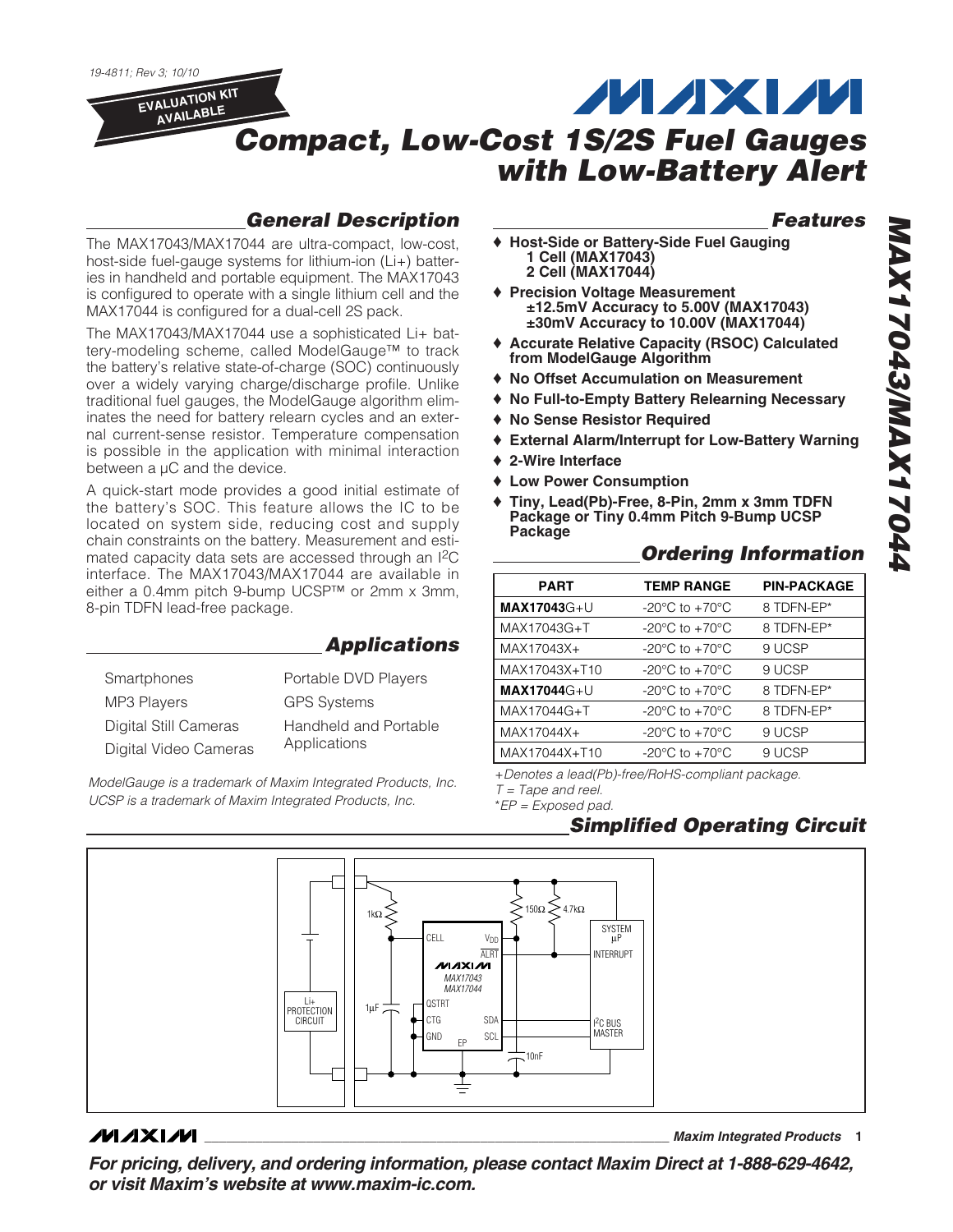19-4811; Rev 3; 10/10

**EVALUATION KIT AVAILABLE**

## **MAXM Compact, Low-Cost 1S/2S Fuel Gauges with Low-Battery Alert**

## **General Description**

The MAX17043/MAX17044 are ultra-compact, low-cost, host-side fuel-gauge systems for lithium-ion (Li+) batteries in handheld and portable equipment. The MAX17043 is configured to operate with a single lithium cell and the MAX17044 is configured for a dual-cell 2S pack.

The MAX17043/MAX17044 use a sophisticated Li+ battery-modeling scheme, called ModelGauge™ to track the battery's relative state-of-charge (SOC) continuously over a widely varying charge/discharge profile. Unlike traditional fuel gauges, the ModelGauge algorithm eliminates the need for battery relearn cycles and an external current-sense resistor. Temperature compensation is possible in the application with minimal interaction between a  $\mu$ C and the device.

A quick-start mode provides a good initial estimate of the battery's SOC. This feature allows the IC to be located on system side, reducing cost and supply chain constraints on the battery. Measurement and estimated capacity data sets are accessed through an I2C interface. The MAX17043/MAX17044 are available in either a 0.4mm pitch 9-bump UCSP™ or 2mm x 3mm, 8-pin TDFN lead-free package.

|                       | <b>Applications</b>   |
|-----------------------|-----------------------|
| Smartphones           | Portable DVD Players  |
| <b>MP3 Players</b>    | <b>GPS Systems</b>    |
| Digital Still Cameras | Handheld and Portable |
| Digital Video Cameras | Applications          |

ModelGauge is a trademark of Maxim Integrated Products, Inc. UCSP is a trademark of Maxim Integrated Products, Inc.

## **Features**

- ♦ **Host-Side or Battery-Side Fuel Gauging 1 Cell (MAX17043) 2 Cell (MAX17044)**
- ♦ **Precision Voltage Measurement ±12.5mV Accuracy to 5.00V (MAX17043) ±30mV Accuracy to 10.00V (MAX17044)**
- ♦ **Accurate Relative Capacity (RSOC) Calculated from ModelGauge Algorithm**
- ♦ **No Offset Accumulation on Measurement**
- ♦ **No Full-to-Empty Battery Relearning Necessary**
- ♦ **No Sense Resistor Required**
- ♦ **External Alarm/Interrupt for Low-Battery Warning**
- ♦ **2-Wire Interface**
- ♦ **Low Power Consumption**
- ♦ **Tiny, Lead(Pb)-Free, 8-Pin, 2mm x 3mm TDFN Package or Tiny 0.4mm Pitch 9-Bump UCSP Package**

## **Ordering Information**

| <b>PART</b>         | <b>TEMP RANGE</b>                                    | <b>PIN-PACKAGE</b> |
|---------------------|------------------------------------------------------|--------------------|
| <b>MAX17043</b> G+U | $-20^{\circ}$ C to $+70^{\circ}$ C                   | 8 TDFN-EP*         |
| MAX17043G+T         | $-20^{\circ}$ C to $+70^{\circ}$ C                   | 8 TDFN-EP*         |
| MAX17043X+          | $-20^{\circ}$ C to $+70^{\circ}$ C                   | 9 UCSP             |
| MAX17043X+T10       | $-20^{\circ}$ C to $+70^{\circ}$ C                   | 9 UCSP             |
| <b>MAX17044G+U</b>  | $-20^{\circ}$ C to $+70^{\circ}$ C                   | 8 TDFN-EP*         |
| MAX17044G+T         | $-20^{\circ}$ C to $+70^{\circ}$ C                   | 8 TDFN-EP*         |
| MAX17044X+          | -20 $\mathrm{^{\circ}C}$ to +70 $\mathrm{^{\circ}C}$ | 9 UCSP             |
| MAX17044X+T10       | $-20^{\circ}$ C to $+70^{\circ}$ C                   | 9 UCSP             |

+Denotes a lead(Pb)-free/RoHS-compliant package.

 $T = \text{Tape}$  and reel. \*EP = Exposed pad.

## **Simplified Operating Circuit**



## **MAXM**

**\_\_\_\_\_\_\_\_\_\_\_\_\_\_\_\_\_\_\_\_\_\_\_\_\_\_\_\_\_\_\_\_\_\_\_\_\_\_\_\_\_\_\_\_\_\_\_\_\_\_\_\_\_\_\_\_\_\_\_\_\_\_\_\_ Maxim Integrated Products 1**

**For pricing, delivery, and ordering information, please contact Maxim Direct at 1-888-629-4642, or visit Maxim's website at www.maxim-ic.com.**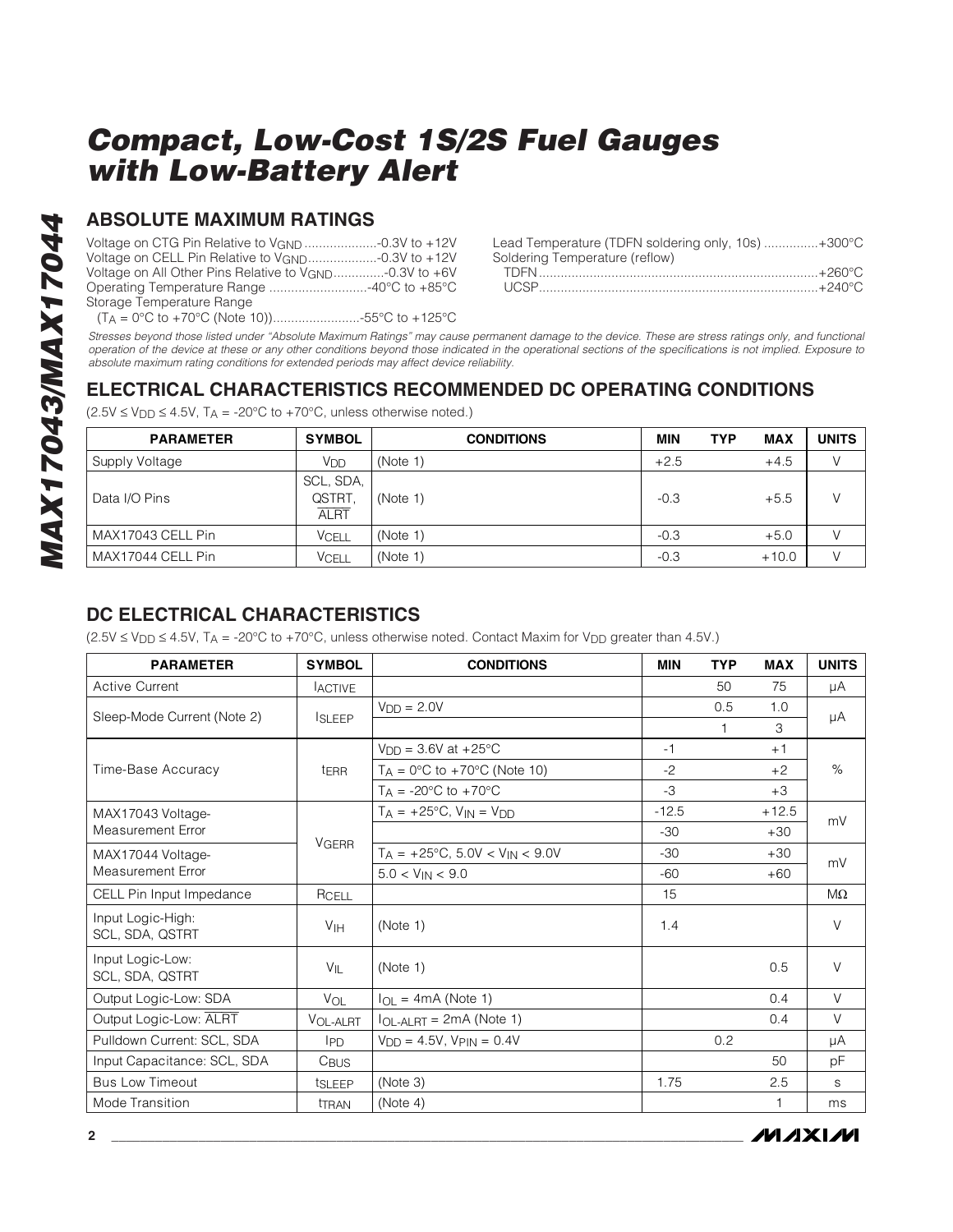## **ABSOLUTE MAXIMUM RATINGS**

| Voltage on CELL Pin Relative to V <sub>GND</sub> -0.3V to +12V      |  |
|---------------------------------------------------------------------|--|
| Voltage on All Other Pins Relative to V <sub>GND</sub> -0.3V to +6V |  |
|                                                                     |  |
| Storage Temperature Range                                           |  |
|                                                                     |  |

| Lead Temperature (TDFN soldering only, 10s) +300°C |
|----------------------------------------------------|
|                                                    |
|                                                    |
|                                                    |
|                                                    |

Stresses beyond those listed under "Absolute Maximum Ratings" may cause permanent damage to the device. These are stress ratings only, and functional operation of the device at these or any other conditions beyond those indicated in the operational sections of the specifications is not implied. Exposure to absolute maximum rating conditions for extended periods may affect device reliability.

## **ELECTRICAL CHARACTERISTICS RECOMMENDED DC OPERATING CONDITIONS**

| <b>PARAMETER</b>  | <b>SYMBOL</b>                      | <b>CONDITIONS</b> | MIN    | <b>TYP</b> | <b>MAX</b> | <b>UNITS</b> |
|-------------------|------------------------------------|-------------------|--------|------------|------------|--------------|
| Supply Voltage    | V <sub>DD</sub>                    | (Note 1)          | $+2.5$ |            | $+4.5$     |              |
| Data I/O Pins     | SCL, SDA,<br>QSTRT.<br><b>ALRT</b> | (Note 1)          | $-0.3$ |            | $+5.5$     |              |
| MAX17043 CELL Pin | <b>VCELL</b>                       | (Note 1)          | $-0.3$ |            | $+5.0$     |              |
| MAX17044 CELL Pin | <b>VCELL</b>                       | (Note 1)          | $-0.3$ |            | $+10.0$    |              |

 $(2.5V \le V_{DD} \le 4.5V, T_A = -20^{\circ}C$  to +70°C, unless otherwise noted.)

## **DC ELECTRICAL CHARACTERISTICS**

 $(2.5V \le V_{DD} \le 4.5V$ , T<sub>A</sub> = -20°C to +70°C, unless otherwise noted. Contact Maxim for V<sub>DD</sub> greater than 4.5V.)

| <b>PARAMETER</b>                     | <b>SYMBOL</b>    | <b>CONDITIONS</b>                             | <b>MIN</b> | <b>TYP</b>   | <b>MAX</b> | <b>UNITS</b> |  |
|--------------------------------------|------------------|-----------------------------------------------|------------|--------------|------------|--------------|--|
| <b>Active Current</b>                | <b>LACTIVE</b>   |                                               |            | 50           | 75         | μA           |  |
| Sleep-Mode Current (Note 2)          |                  | $VDD = 2.0V$                                  |            | 0.5          | 1.0        |              |  |
|                                      | <b>ISLEEP</b>    |                                               |            | $\mathbf{1}$ | 3          | μA           |  |
|                                      |                  | $V_{DD} = 3.6V$ at +25°C                      | $-1$       |              | $+1$       |              |  |
| Time-Base Accuracy                   | <sup>t</sup> ERR | $T_A = 0$ °C to +70°C (Note 10)               | $-2$       |              | $+2$       | $\%$         |  |
|                                      |                  | $T_A = -20$ °C to $+70$ °C                    | $-3$       |              | $+3$       |              |  |
| MAX17043 Voltage-                    |                  | $T_A = +25^{\circ}C$ , $V_{IN} = V_{DD}$      | $-12.5$    |              | $+12.5$    | mV           |  |
| Measurement Error                    |                  |                                               | $-30$      |              | $+30$      |              |  |
| MAX17044 Voltage-                    | <b>VGERR</b>     | $T_A = +25^{\circ}C$ , 5.0V < $V_{IN}$ < 9.0V | $-30$      |              | $+30$      | mV           |  |
| <b>Measurement Error</b>             |                  | $5.0 < V_{IN} < 9.0$                          | $-60$      |              | $+60$      |              |  |
| CELL Pin Input Impedance             | RCELL            |                                               | 15         |              |            | MΩ           |  |
| Input Logic-High:<br>SCL, SDA, QSTRT | V <sub>IH</sub>  | (Note 1)                                      | 1.4        |              |            | $\vee$       |  |
| Input Logic-Low:<br>SCL, SDA, QSTRT  | VIL              | (Note 1)                                      |            |              | 0.5        | $\vee$       |  |
| Output Logic-Low: SDA                | VOL              | $I_{OL}$ = 4mA (Note 1)                       |            |              | 0.4        | $\vee$       |  |
| Output Logic-Low: ALRT               | VOL-ALRT         | $I_{OL-ALRT} = 2mA (Note 1)$                  |            |              | 0.4        | V            |  |
| Pulldown Current: SCL, SDA           | <b>IPD</b>       | $V_{DD} = 4.5V$ , $V_{PIN} = 0.4V$            |            | 0.2          |            | μA           |  |
| Input Capacitance: SCL, SDA          | C <sub>BUS</sub> |                                               |            |              | 50         | рF           |  |
| <b>Bus Low Timeout</b>               | tSLEEP           | (Note 3)                                      | 1.75       |              | 2.5        | S            |  |
| Mode Transition                      | <b>THAN</b>      | (Note 4)                                      |            |              |            | ms           |  |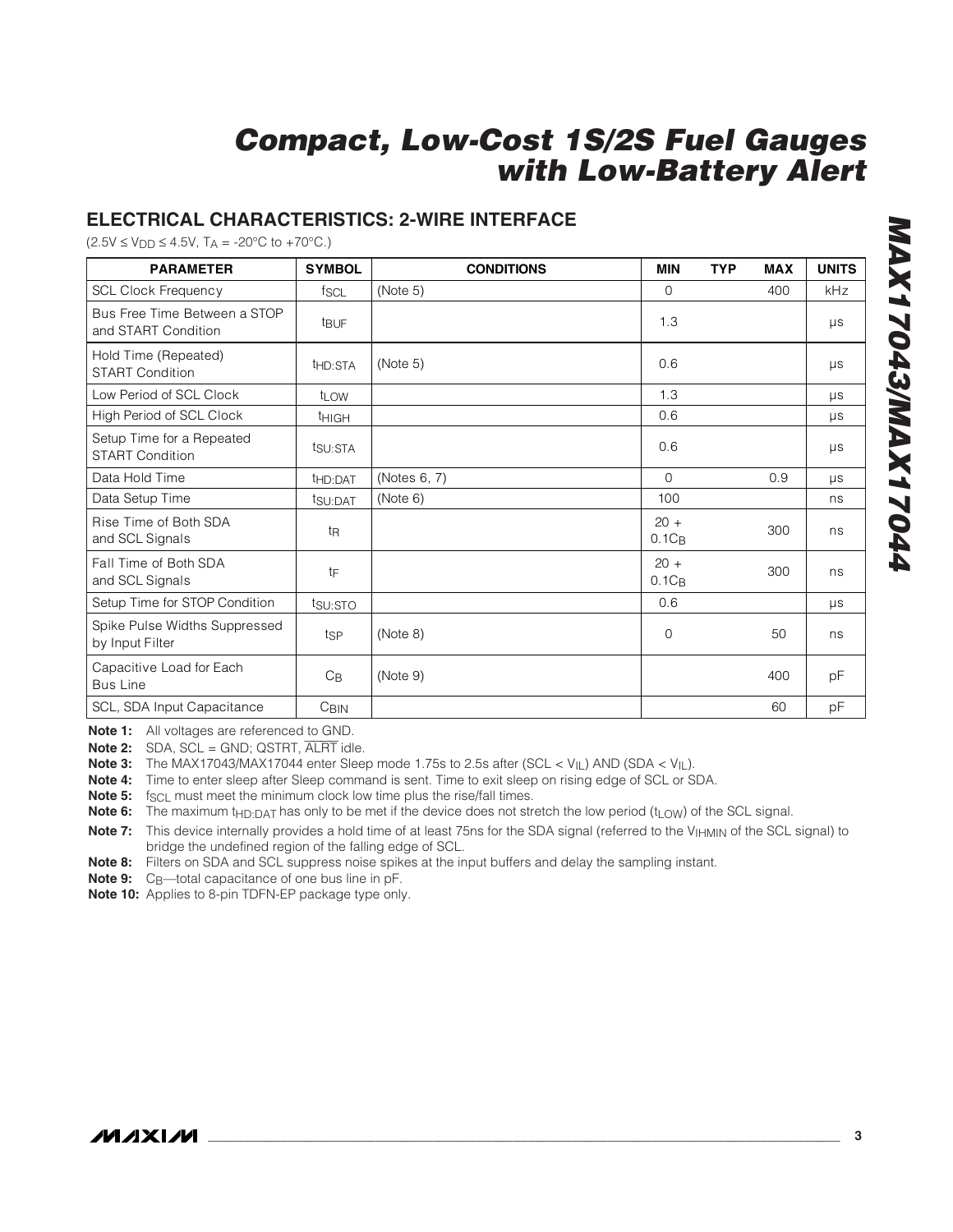### **ELECTRICAL CHARACTERISTICS: 2-WIRE INTERFACE**

 $(2.5V \le V_{DD} \le 4.5V, T_A = -20°C$  to  $+70°C$ .)

| <b>PARAMETER</b>                                    | <b>SYMBOL</b>       | <b>CONDITIONS</b> | <b>MIN</b>         | <b>TYP</b> | <b>MAX</b> | <b>UNITS</b> |
|-----------------------------------------------------|---------------------|-------------------|--------------------|------------|------------|--------------|
| <b>SCL Clock Frequency</b>                          | fscl                | (Note 5)          | 0                  |            | 400        | kHz          |
| Bus Free Time Between a STOP<br>and START Condition | t <sub>BUF</sub>    |                   | 1.3                |            |            | μs           |
| Hold Time (Repeated)<br><b>START Condition</b>      | t <sub>HD:STA</sub> | (Note 5)          | 0.6                |            |            | $\mu s$      |
| Low Period of SCL Clock                             | t <sub>LOW</sub>    |                   | 1.3                |            |            | $\mu s$      |
| High Period of SCL Clock                            | <b>THIGH</b>        |                   | 0.6                |            |            | μs           |
| Setup Time for a Repeated<br><b>START Condition</b> | tsu:STA             |                   | 0.6                |            |            | $\mu s$      |
| Data Hold Time                                      | t <sub>HD:DAT</sub> | (Notes 6, 7)      | $\Omega$           |            | 0.9        | μs           |
| Data Setup Time                                     | t <sub>SU:DAT</sub> | (Note 6)          | 100                |            |            | ns           |
| Rise Time of Both SDA<br>and SCL Signals            | t <sub>R</sub>      |                   | $20 +$<br>$0.1C_B$ |            | 300        | ns           |
| Fall Time of Both SDA<br>and SCL Signals            | tF                  |                   | $20 +$<br>$0.1C_B$ |            | 300        | ns           |
| Setup Time for STOP Condition                       | tsu:STO             |                   | 0.6                |            |            | $\mu s$      |
| Spike Pulse Widths Suppressed<br>by Input Filter    | tsp                 | (Note 8)          | $\Omega$           |            | 50         | ns           |
| Capacitive Load for Each<br><b>Bus Line</b>         | $C_{\text{B}}$      | (Note 9)          |                    |            | 400        | pF           |
| SCL, SDA Input Capacitance                          | C <sub>BIN</sub>    |                   |                    |            | 60         | pF           |

**Note 1:** All voltages are referenced to GND.

**Note 2:** SDA, SCL = GND; QSTRT, ALRT idle.

**Note 3:** The MAX17043/MAX17044 enter Sleep mode 1.75s to 2.5s after (SCL < V<sub>IL</sub>) AND (SDA < V<sub>IL</sub>).

**Note 4:** Time to enter sleep after Sleep command is sent. Time to exit sleep on rising edge of SCL or SDA.

**Note 5:** f<sub>SCL</sub> must meet the minimum clock low time plus the rise/fall times.

Note 6: The maximum t<sub>HD:DAT</sub> has only to be met if the device does not stretch the low period (t<sub>LOW</sub>) of the SCL signal.

Note 7: This device internally provides a hold time of at least 75ns for the SDA signal (referred to the V<sub>IHMIN</sub> of the SCL signal) to bridge the undefined region of the falling edge of SCL.

**Note 8:** Filters on SDA and SCL suppress noise spikes at the input buffers and delay the sampling instant.

**Note 9:** C<sub>B</sub>—total capacitance of one bus line in pF.

**Note 10:** Applies to 8-pin TDFN-EP package type only.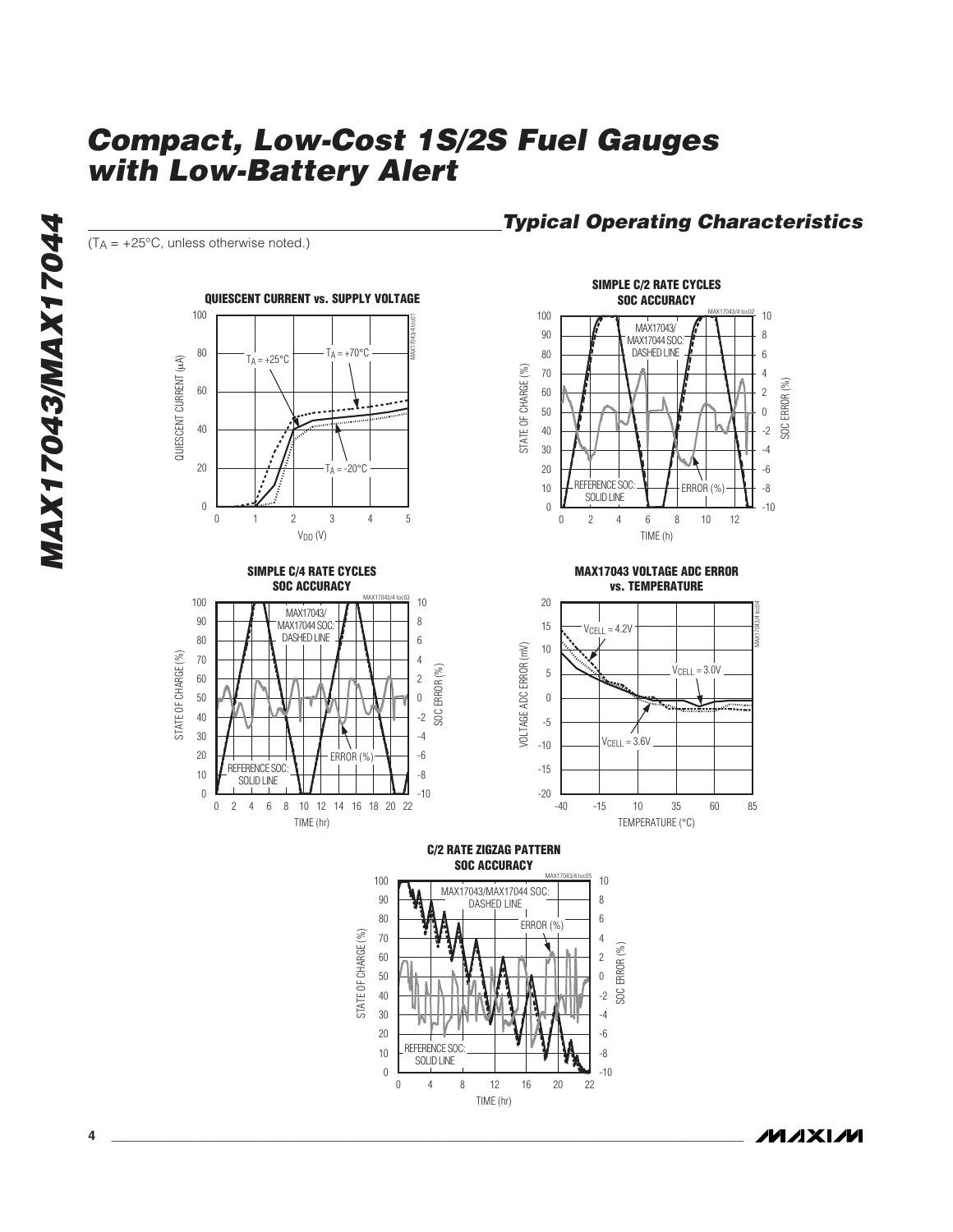$(T_A = +25^{\circ}C$ , unless otherwise noted.)









**Typical Operating Characteristics**

**MAX17043 VOLTAGE ADC ERROR vs. TEMPERATURE**



**C/2 RATE ZIGZAG PATTERN SOC ACCURACY**



**MAXIM**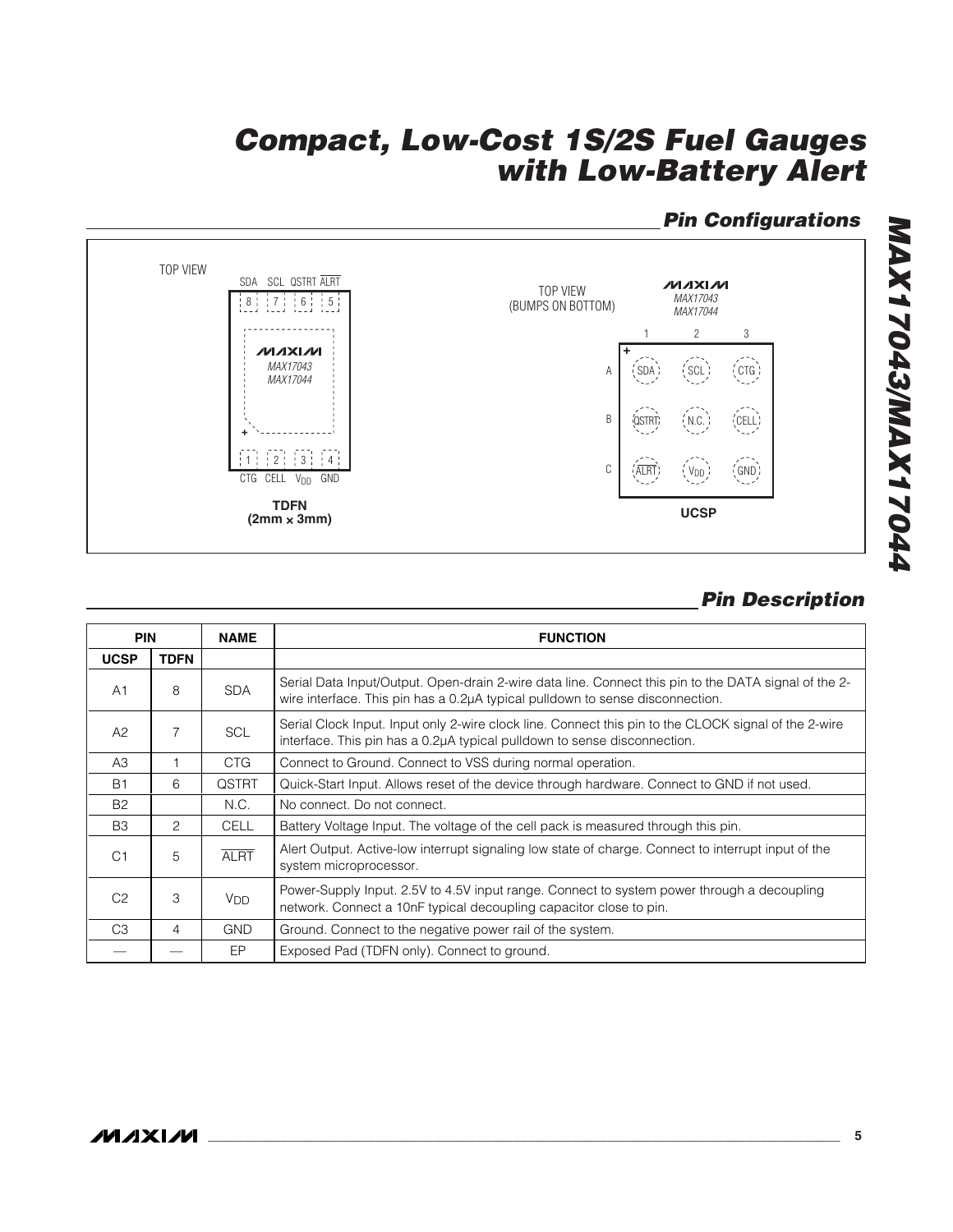## **Pin Configurations**



## **Pin Description**

|                | <b>PIN</b><br><b>NAME</b> |                       | <b>FUNCTION</b>                                                                                                                                                                       |
|----------------|---------------------------|-----------------------|---------------------------------------------------------------------------------------------------------------------------------------------------------------------------------------|
| <b>UCSP</b>    | <b>TDFN</b>               |                       |                                                                                                                                                                                       |
| A1             | 8                         | <b>SDA</b>            | Serial Data Input/Output. Open-drain 2-wire data line. Connect this pin to the DATA signal of the 2-<br>wire interface. This pin has a 0.2µA typical pulldown to sense disconnection. |
| A2             | $\overline{7}$            | <b>SCL</b>            | Serial Clock Input. Input only 2-wire clock line. Connect this pin to the CLOCK signal of the 2-wire<br>interface. This pin has a 0.2µA typical pulldown to sense disconnection.      |
| A3             |                           | CTG                   | Connect to Ground. Connect to VSS during normal operation.                                                                                                                            |
| B <sub>1</sub> | 6                         | <b>QSTRT</b>          | Quick-Start Input. Allows reset of the device through hardware. Connect to GND if not used.                                                                                           |
| <b>B2</b>      |                           | N.C.                  | No connect. Do not connect.                                                                                                                                                           |
| B <sub>3</sub> | 2                         | <b>CELL</b>           | Battery Voltage Input. The voltage of the cell pack is measured through this pin.                                                                                                     |
| C <sub>1</sub> | 5                         | <b>ALRT</b>           | Alert Output. Active-low interrupt signaling low state of charge. Connect to interrupt input of the<br>system microprocessor.                                                         |
| C <sub>2</sub> | 3                         | <b>V<sub>DD</sub></b> | Power-Supply Input. 2.5V to 4.5V input range. Connect to system power through a decoupling<br>network. Connect a 10nF typical decoupling capacitor close to pin.                      |
| C <sub>3</sub> | 4                         | <b>GND</b>            | Ground. Connect to the negative power rail of the system.                                                                                                                             |
|                |                           | EP.                   | Exposed Pad (TDFN only). Connect to ground.                                                                                                                                           |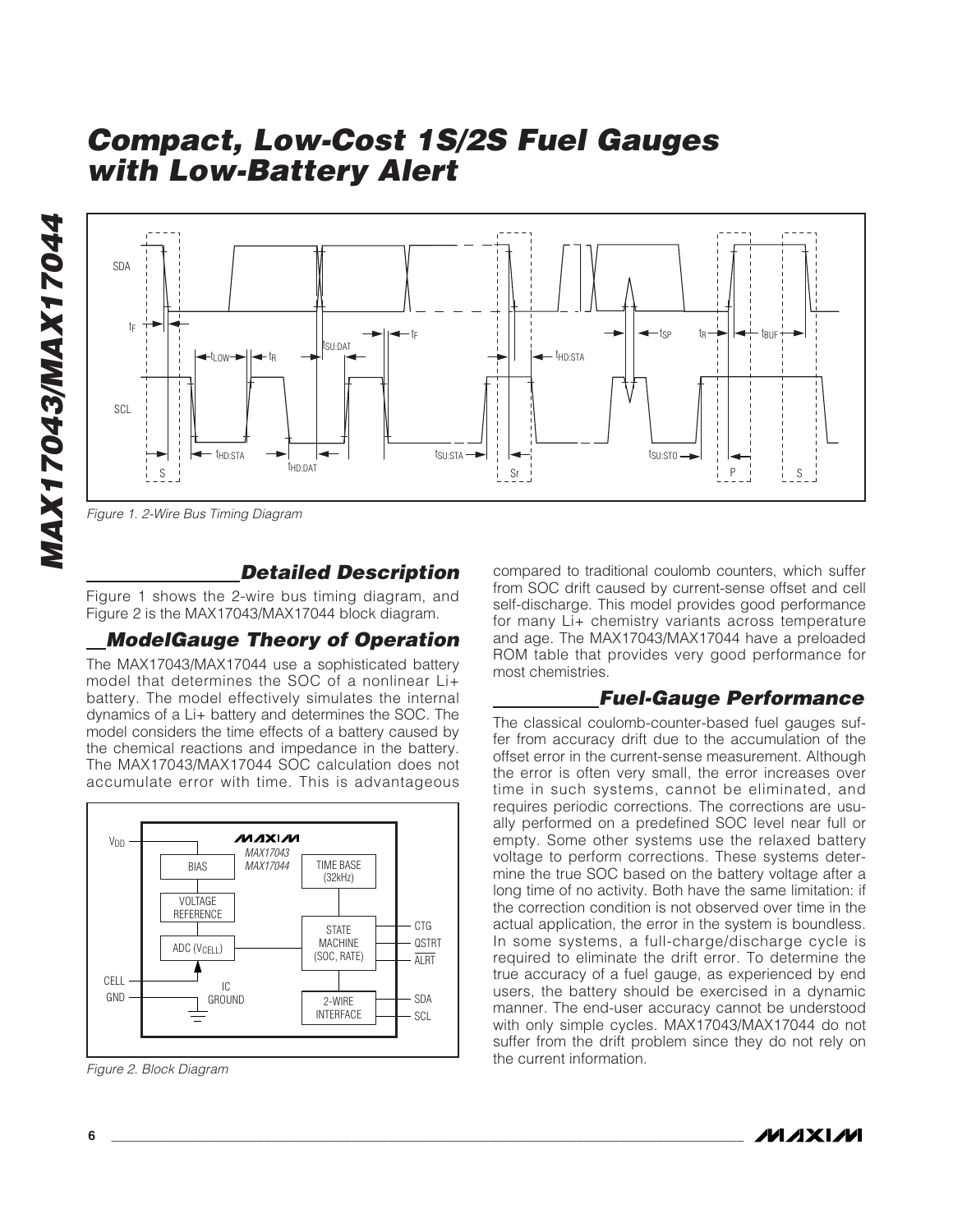



Figure 1. 2-Wire Bus Timing Diagram

#### **Detailed Description**

Figure 1 shows the 2-wire bus timing diagram, and Figure 2 is the MAX17043/MAX17044 block diagram.

## **ModelGauge Theory of Operation**

The MAX17043/MAX17044 use a sophisticated battery model that determines the SOC of a nonlinear Li+ battery. The model effectively simulates the internal dynamics of a Li+ battery and determines the SOC. The model considers the time effects of a battery caused by the chemical reactions and impedance in the battery. The MAX17043/MAX17044 SOC calculation does not accumulate error with time. This is advantageous



Figure 2. Block Diagram

compared to traditional coulomb counters, which suffer from SOC drift caused by current-sense offset and cell self-discharge. This model provides good performance for many Li+ chemistry variants across temperature and age. The MAX17043/MAX17044 have a preloaded ROM table that provides very good performance for most chemistries.

### **Fuel-Gauge Performance**

The classical coulomb-counter-based fuel gauges suffer from accuracy drift due to the accumulation of the offset error in the current-sense measurement. Although the error is often very small, the error increases over time in such systems, cannot be eliminated, and requires periodic corrections. The corrections are usually performed on a predefined SOC level near full or empty. Some other systems use the relaxed battery voltage to perform corrections. These systems determine the true SOC based on the battery voltage after a long time of no activity. Both have the same limitation: if the correction condition is not observed over time in the actual application, the error in the system is boundless. In some systems, a full-charge/discharge cycle is required to eliminate the drift error. To determine the true accuracy of a fuel gauge, as experienced by end users, the battery should be exercised in a dynamic manner. The end-user accuracy cannot be understood with only simple cycles. MAX17043/MAX17044 do not suffer from the drift problem since they do not rely on the current information.

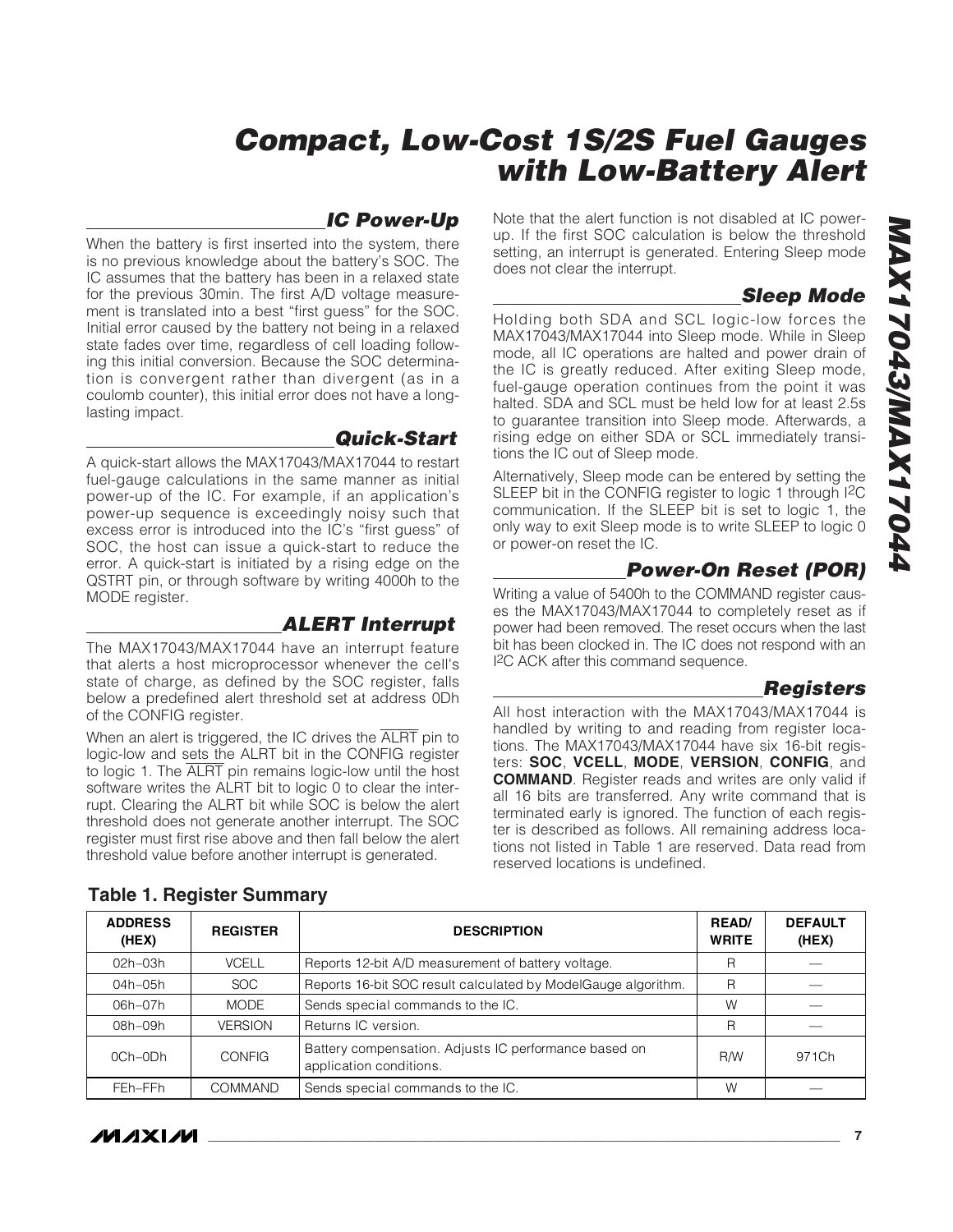### **IC Power-Up**

When the battery is first inserted into the system, there is no previous knowledge about the battery's SOC. The IC assumes that the battery has been in a relaxed state for the previous 30min. The first A/D voltage measurement is translated into a best "first guess" for the SOC. Initial error caused by the battery not being in a relaxed state fades over time, regardless of cell loading following this initial conversion. Because the SOC determination is convergent rather than divergent (as in a coulomb counter), this initial error does not have a longlasting impact.

#### **Quick-Start**

A quick-start allows the MAX17043/MAX17044 to restart fuel-gauge calculations in the same manner as initial power-up of the IC. For example, if an application's power-up sequence is exceedingly noisy such that excess error is introduced into the IC's "first guess" of SOC, the host can issue a quick-start to reduce the error. A quick-start is initiated by a rising edge on the QSTRT pin, or through software by writing 4000h to the MODE register.

#### **ALERT Interrupt**

The MAX17043/MAX17044 have an interrupt feature that alerts a host microprocessor whenever the cell's state of charge, as defined by the SOC register, falls below a predefined alert threshold set at address 0Dh of the CONFIG register.

When an alert is triggered, the IC drives the ALRT pin to logic-low and sets the ALRT bit in the CONFIG register to logic 1. The ALRT pin remains logic-low until the host software writes the ALRT bit to logic 0 to clear the interrupt. Clearing the ALRT bit while SOC is below the alert threshold does not generate another interrupt. The SOC register must first rise above and then fall below the alert threshold value before another interrupt is generated.

Note that the alert function is not disabled at IC powerup. If the first SOC calculation is below the threshold setting, an interrupt is generated. Entering Sleep mode does not clear the interrupt.

## **Sleep Mode**

Holding both SDA and SCL logic-low forces the MAX17043/MAX17044 into Sleep mode. While in Sleep mode, all IC operations are halted and power drain of the IC is greatly reduced. After exiting Sleep mode, fuel-gauge operation continues from the point it was halted. SDA and SCL must be held low for at least 2.5s to guarantee transition into Sleep mode. Afterwards, a rising edge on either SDA or SCL immediately transitions the IC out of Sleep mode.

Alternatively, Sleep mode can be entered by setting the SLEEP bit in the CONFIG register to logic 1 through I<sup>2</sup>C communication. If the SLEEP bit is set to logic 1, the only way to exit Sleep mode is to write SLEEP to logic 0 or power-on reset the IC.

## **Power-On Reset (POR)**

Writing a value of 5400h to the COMMAND register causes the MAX17043/MAX17044 to completely reset as if power had been removed. The reset occurs when the last bit has been clocked in. The IC does not respond with an I2C ACK after this command sequence.

#### **Registers**

All host interaction with the MAX17043/MAX17044 is handled by writing to and reading from register locations. The MAX17043/MAX17044 have six 16-bit registers: **SOC**, **VCELL**, **MODE**, **VERSION**, **CONFIG**, and **COMMAND**. Register reads and writes are only valid if all 16 bits are transferred. Any write command that is terminated early is ignored. The function of each register is described as follows. All remaining address locations not listed in Table 1 are reserved. Data read from reserved locations is undefined.

| <b>ADDRESS</b><br>(HEX) | <b>REGISTER</b> | <b>DESCRIPTION</b>                                                               |     | <b>DEFAULT</b><br>(HEX) |
|-------------------------|-----------------|----------------------------------------------------------------------------------|-----|-------------------------|
| 02h-03h                 | <b>VCELL</b>    | Reports 12-bit A/D measurement of battery voltage.                               | R   |                         |
| $04h - 05h$             | SOC.            | Reports 16-bit SOC result calculated by ModelGauge algorithm.                    | R   |                         |
| $06h - 07h$             | <b>MODE</b>     | Sends special commands to the IC.                                                | W   |                         |
| 08h-09h                 | <b>VERSION</b>  | Returns IC version.                                                              | R   |                         |
| $OCh-ODh$               | <b>CONFIG</b>   | Battery compensation. Adjusts IC performance based on<br>application conditions. | R/W | 971Ch                   |
| FEh-FFh                 | COMMAND         | Sends special commands to the IC.                                                | W   |                         |

**Table 1. Register Summary**

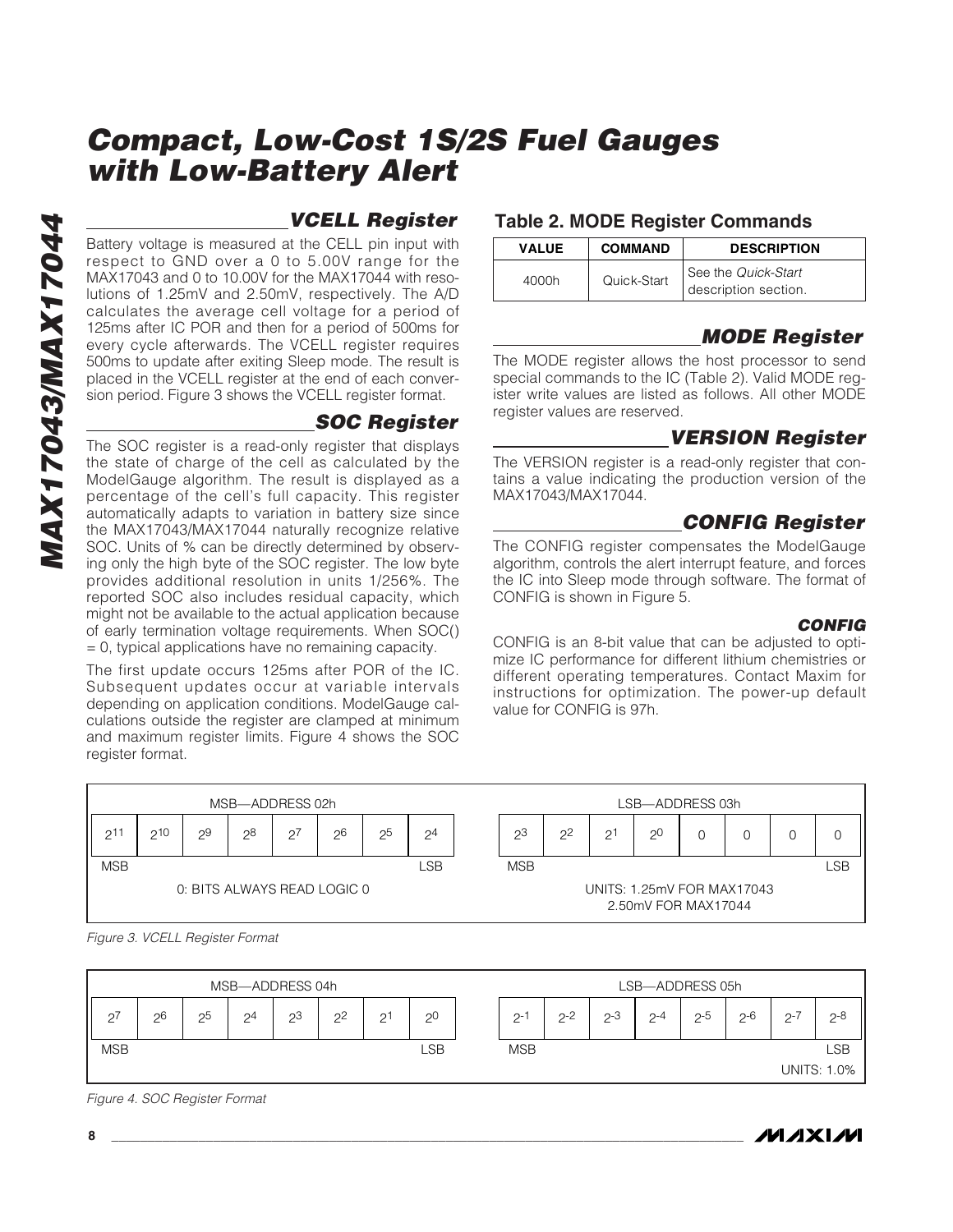**MAX17043/MAX17044 NAX17043/MAX17044** 

## **VCELL Register**

Battery voltage is measured at the CELL pin input with respect to GND over a 0 to 5.00V range for the MAX17043 and 0 to 10.00V for the MAX17044 with resolutions of 1.25mV and 2.50mV, respectively. The A/D calculates the average cell voltage for a period of 125ms after IC POR and then for a period of 500ms for every cycle afterwards. The VCELL register requires 500ms to update after exiting Sleep mode. The result is placed in the VCELL register at the end of each conversion period. Figure 3 shows the VCELL register format.

### **SOC Register**

The SOC register is a read-only register that displays the state of charge of the cell as calculated by the ModelGauge algorithm. The result is displayed as a percentage of the cell's full capacity. This register automatically adapts to variation in battery size since the MAX17043/MAX17044 naturally recognize relative SOC. Units of % can be directly determined by observing only the high byte of the SOC register. The low byte provides additional resolution in units 1/256%. The reported SOC also includes residual capacity, which might not be available to the actual application because of early termination voltage requirements. When SOC()  $= 0$ , typical applications have no remaining capacity.

The first update occurs 125ms after POR of the IC. Subsequent updates occur at variable intervals depending on application conditions. ModelGauge calculations outside the register are clamped at minimum and maximum register limits. Figure 4 shows the SOC register format.

### **Table 2. MODE Register Commands**

| <b>VALUE</b> | <b>COMMAND</b> | <b>DESCRIPTION</b>                          |
|--------------|----------------|---------------------------------------------|
| 4000h        | Quick-Start    | See the Quick-Start<br>description section. |

## **MODE Register**

The MODE register allows the host processor to send special commands to the IC (Table 2). Valid MODE register write values are listed as follows. All other MODE register values are reserved.

## **VERSION Register**

The VERSION register is a read-only register that contains a value indicating the production version of the MAX17043/MAX17044.

## **CONFIG Register**

The CONFIG register compensates the ModelGauge algorithm, controls the alert interrupt feature, and forces the IC into Sleep mode through software. The format of CONFIG is shown in Figure 5.

#### **CONFIG**

CONFIG is an 8-bit value that can be adjusted to optimize IC performance for different lithium chemistries or different operating temperatures. Contact Maxim for instructions for optimization. The power-up default value for CONFIG is 97h.



Figure 3. VCELL Register Format



Figure 4. SOC Register Format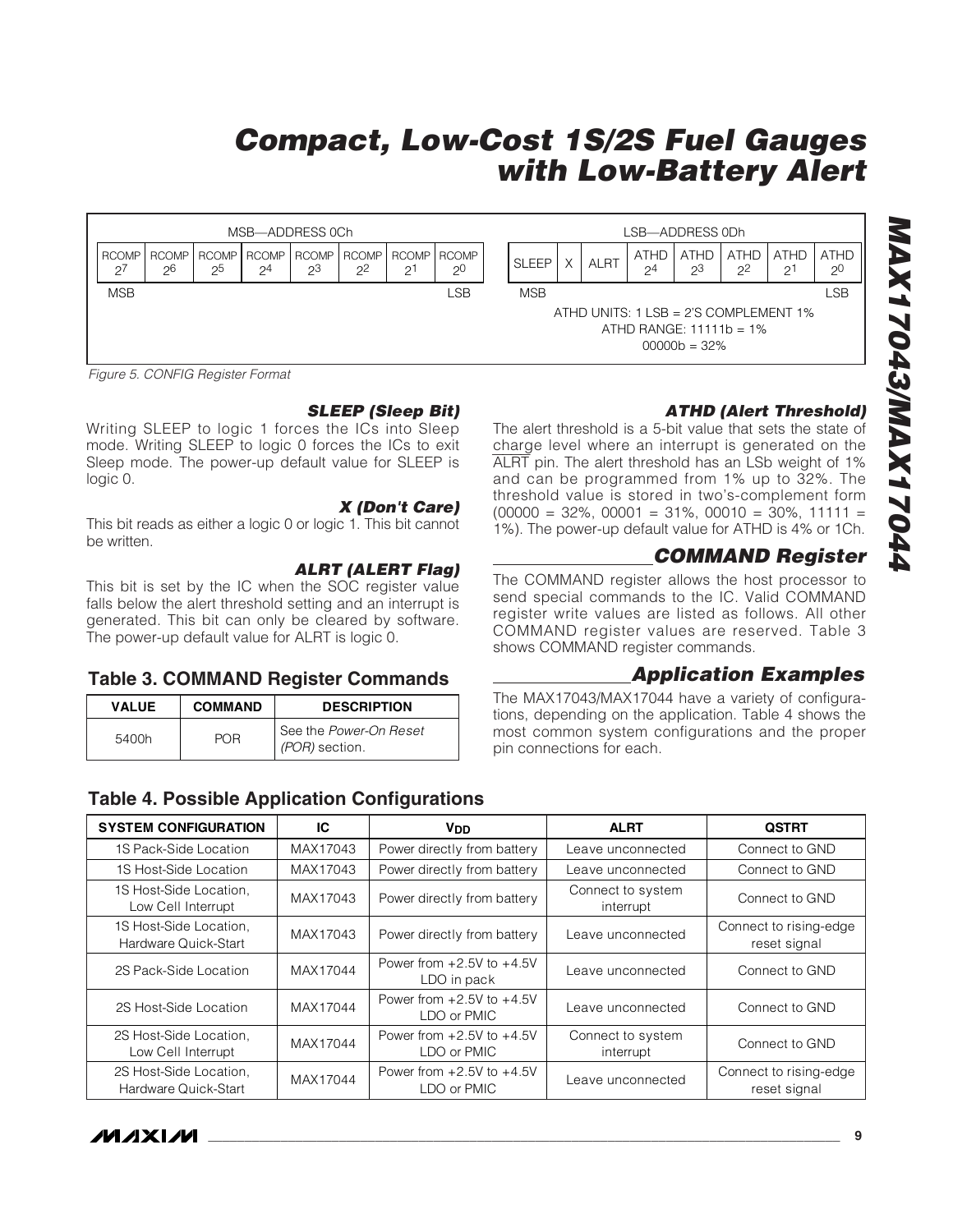

Figure 5. CONFIG Register Format

#### **SLEEP (Sleep Bit)**

Writing SLEEP to logic 1 forces the ICs into Sleep mode. Writing SLEEP to logic 0 forces the ICs to exit Sleep mode. The power-up default value for SLEEP is logic 0.

#### **X (Don't Care)**

This bit reads as either a logic 0 or logic 1. This bit cannot be written.

#### **ALRT (ALERT Flag)**

This bit is set by the IC when the SOC register value falls below the alert threshold setting and an interrupt is generated. This bit can only be cleared by software. The power-up default value for ALRT is logic 0.

#### **Table 3. COMMAND Register Commands**

| <b>VALUE</b> | <b>COMMAND</b> | <b>DESCRIPTION</b>                                |
|--------------|----------------|---------------------------------------------------|
| 5400h        | POR            | l See the <i>Power-On Reset</i><br>(POR) section. |

### **Table 4. Possible Application Configurations**

### **ATHD (Alert Threshold)**

The alert threshold is a 5-bit value that sets the state of charge level where an interrupt is generated on the ALRT pin. The alert threshold has an LSb weight of 1% and can be programmed from 1% up to 32%. The threshold value is stored in two's-complement form  $(00000 = 32\%, 00001 = 31\%, 00010 = 30\%, 11111 =$ 1%). The power-up default value for ATHD is 4% or 1Ch.

## **COMMAND Register**

The COMMAND register allows the host processor to send special commands to the IC. Valid COMMAND register write values are listed as follows. All other COMMAND register values are reserved. Table 3 shows COMMAND register commands.

#### **Application Examples**

The MAX17043/MAX17044 have a variety of configurations, depending on the application. Table 4 shows the most common system configurations and the proper pin connections for each.

| <b>SYSTEM CONFIGURATION</b>                    | IС       | <b>V<sub>DD</sub></b>                        | <b>ALRT</b>                    | <b>QSTRT</b>                           |  |
|------------------------------------------------|----------|----------------------------------------------|--------------------------------|----------------------------------------|--|
| 1S Pack-Side Location                          | MAX17043 | Power directly from battery                  | Leave unconnected              | Connect to GND                         |  |
| 1S Host-Side Location                          | MAX17043 | Power directly from battery                  | Leave unconnected              | Connect to GND                         |  |
| 1S Host-Side Location.<br>Low Cell Interrupt   | MAX17043 | Power directly from battery                  | Connect to system<br>interrupt | Connect to GND                         |  |
| 1S Host-Side Location,<br>Hardware Quick-Start | MAX17043 | Power directly from battery                  | Leave unconnected              | Connect to rising-edge<br>reset signal |  |
| 2S Pack-Side Location                          | MAX17044 | Power from $+2.5V$ to $+4.5V$<br>LDO in pack | Leave unconnected              | Connect to GND                         |  |
| 2S Host-Side Location                          | MAX17044 | Power from $+2.5V$ to $+4.5V$<br>LDO or PMIC | Leave unconnected              | Connect to GND                         |  |
| 2S Host-Side Location,<br>Low Cell Interrupt   | MAX17044 | Power from $+2.5V$ to $+4.5V$<br>LDO or PMIC | Connect to system<br>interrupt | Connect to GND                         |  |
| 2S Host-Side Location,<br>Hardware Quick-Start | MAX17044 | Power from $+2.5V$ to $+4.5V$<br>LDO or PMIC | Leave unconnected              | Connect to rising-edge<br>reset signal |  |

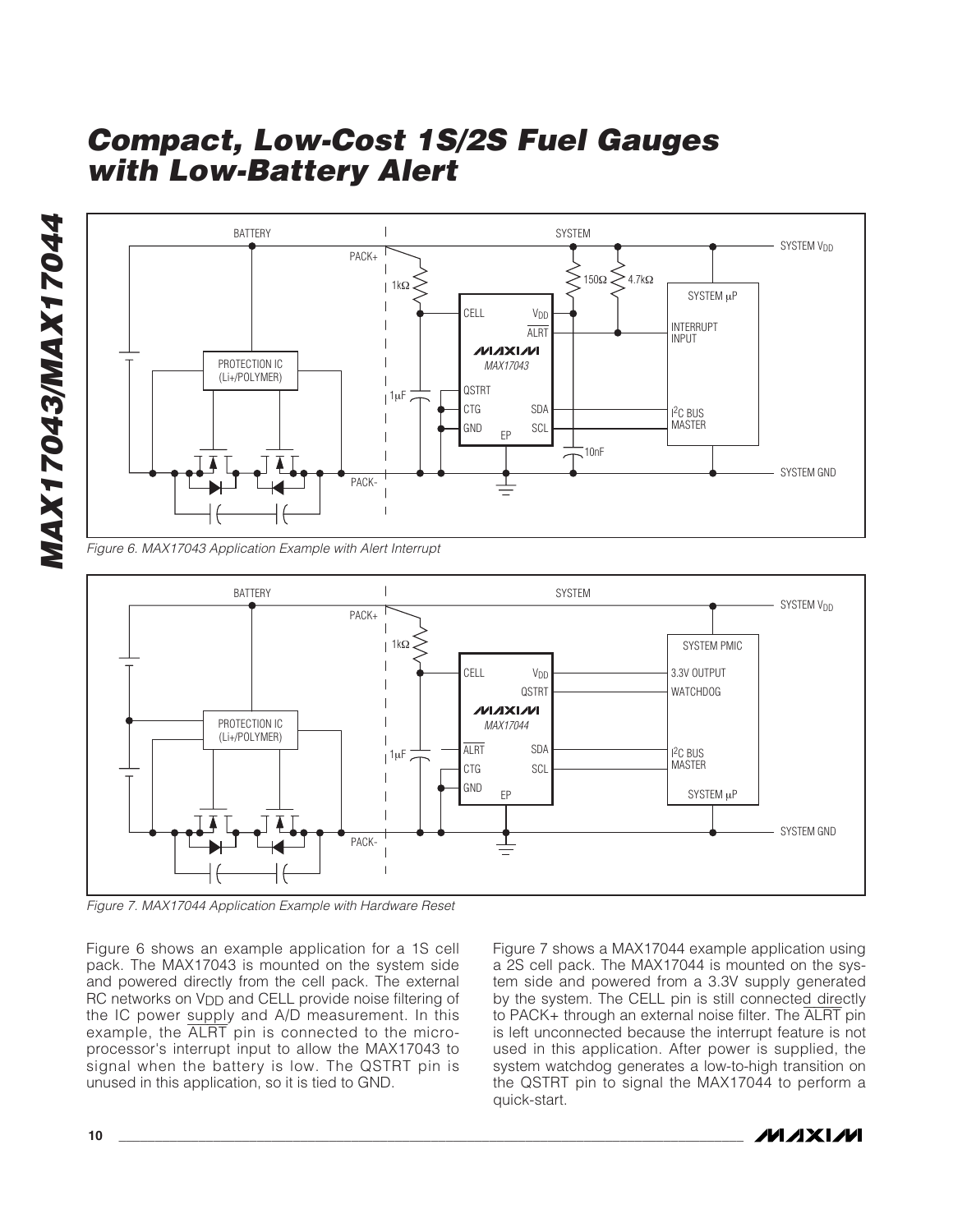



Figure 6. MAX17043 Application Example with Alert Interrupt



Figure 7. MAX17044 Application Example with Hardware Reset

Figure 6 shows an example application for a 1S cell pack. The MAX17043 is mounted on the system side and powered directly from the cell pack. The external RC networks on V<sub>DD</sub> and CELL provide noise filtering of the IC power supply and A/D measurement. In this example, the ALRT pin is connected to the microprocessor's interrupt input to allow the MAX17043 to signal when the battery is low. The QSTRT pin is unused in this application, so it is tied to GND.

Figure 7 shows a MAX17044 example application using a 2S cell pack. The MAX17044 is mounted on the system side and powered from a 3.3V supply generated by the system. The CELL pin is still connected directly to PACK+ through an external noise filter. The ALRT pin is left unconnected because the interrupt feature is not used in this application. After power is supplied, the system watchdog generates a low-to-high transition on the QSTRT pin to signal the MAX17044 to perform a quick-start.

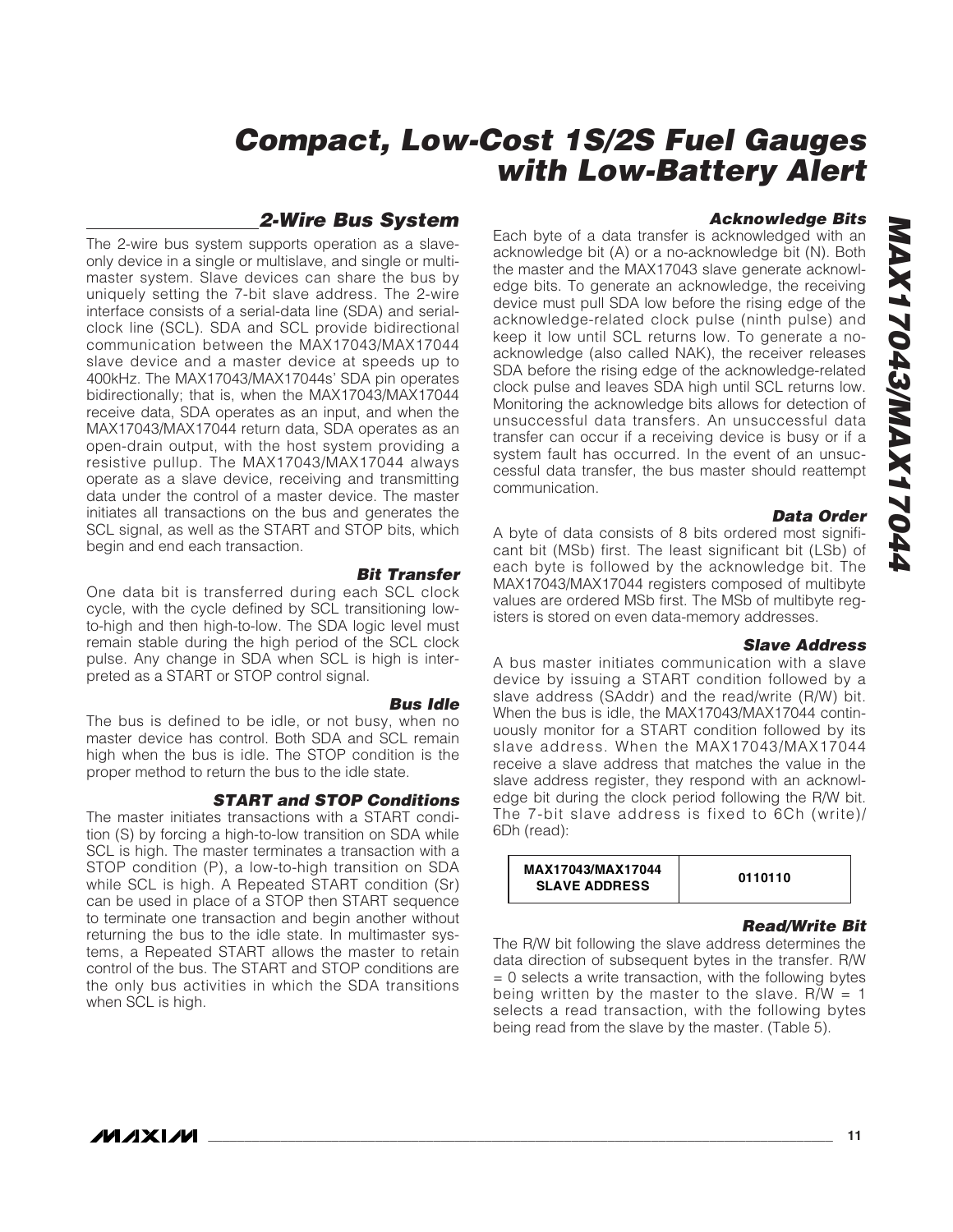### **2-Wire Bus System**

The 2-wire bus system supports operation as a slaveonly device in a single or multislave, and single or multimaster system. Slave devices can share the bus by uniquely setting the 7-bit slave address. The 2-wire interface consists of a serial-data line (SDA) and serialclock line (SCL). SDA and SCL provide bidirectional communication between the MAX17043/MAX17044 slave device and a master device at speeds up to 400kHz. The MAX17043/MAX17044s' SDA pin operates bidirectionally; that is, when the MAX17043/MAX17044 receive data, SDA operates as an input, and when the MAX17043/MAX17044 return data, SDA operates as an open-drain output, with the host system providing a resistive pullup. The MAX17043/MAX17044 always operate as a slave device, receiving and transmitting data under the control of a master device. The master initiates all transactions on the bus and generates the SCL signal, as well as the START and STOP bits, which begin and end each transaction.

**Bit Transfer** One data bit is transferred during each SCL clock cycle, with the cycle defined by SCL transitioning lowto-high and then high-to-low. The SDA logic level must remain stable during the high period of the SCL clock pulse. Any change in SDA when SCL is high is interpreted as a START or STOP control signal.

**Bus Idle**

The bus is defined to be idle, or not busy, when no master device has control. Both SDA and SCL remain high when the bus is idle. The STOP condition is the proper method to return the bus to the idle state.

#### **START and STOP Conditions**

The master initiates transactions with a START condition (S) by forcing a high-to-low transition on SDA while SCL is high. The master terminates a transaction with a STOP condition (P), a low-to-high transition on SDA while SCL is high. A Repeated START condition (Sr) can be used in place of a STOP then START sequence to terminate one transaction and begin another without returning the bus to the idle state. In multimaster systems, a Repeated START allows the master to retain control of the bus. The START and STOP conditions are the only bus activities in which the SDA transitions when SCL is high.

**Acknowledge Bits**

Each byte of a data transfer is acknowledged with an acknowledge bit (A) or a no-acknowledge bit (N). Both the master and the MAX17043 slave generate acknowledge bits. To generate an acknowledge, the receiving device must pull SDA low before the rising edge of the acknowledge-related clock pulse (ninth pulse) and keep it low until SCL returns low. To generate a noacknowledge (also called NAK), the receiver releases SDA before the rising edge of the acknowledge-related clock pulse and leaves SDA high until SCL returns low. Monitoring the acknowledge bits allows for detection of unsuccessful data transfers. An unsuccessful data transfer can occur if a receiving device is busy or if a system fault has occurred. In the event of an unsuccessful data transfer, the bus master should reattempt communication.

#### **Data Order**

A byte of data consists of 8 bits ordered most significant bit (MSb) first. The least significant bit (LSb) of each byte is followed by the acknowledge bit. The MAX17043/MAX17044 registers composed of multibyte values are ordered MSb first. The MSb of multibyte registers is stored on even data-memory addresses.

#### **Slave Address**

A bus master initiates communication with a slave device by issuing a START condition followed by a slave address (SAddr) and the read/write (R/W) bit. When the bus is idle, the MAX17043/MAX17044 continuously monitor for a START condition followed by its slave address. When the MAX17043/MAX17044 receive a slave address that matches the value in the slave address register, they respond with an acknowledge bit during the clock period following the R/W bit. The 7-bit slave address is fixed to 6Ch (write)/ 6Dh (read):

| MAX17043/MAX17044<br><b>SLAVE ADDRESS</b> | 0110110 |
|-------------------------------------------|---------|
|-------------------------------------------|---------|

#### **Read/Write Bit**

The R/W bit following the slave address determines the data direction of subsequent bytes in the transfer. R/W  $= 0$  selects a write transaction, with the following bytes being written by the master to the slave.  $R/W = 1$ selects a read transaction, with the following bytes being read from the slave by the master. (Table 5).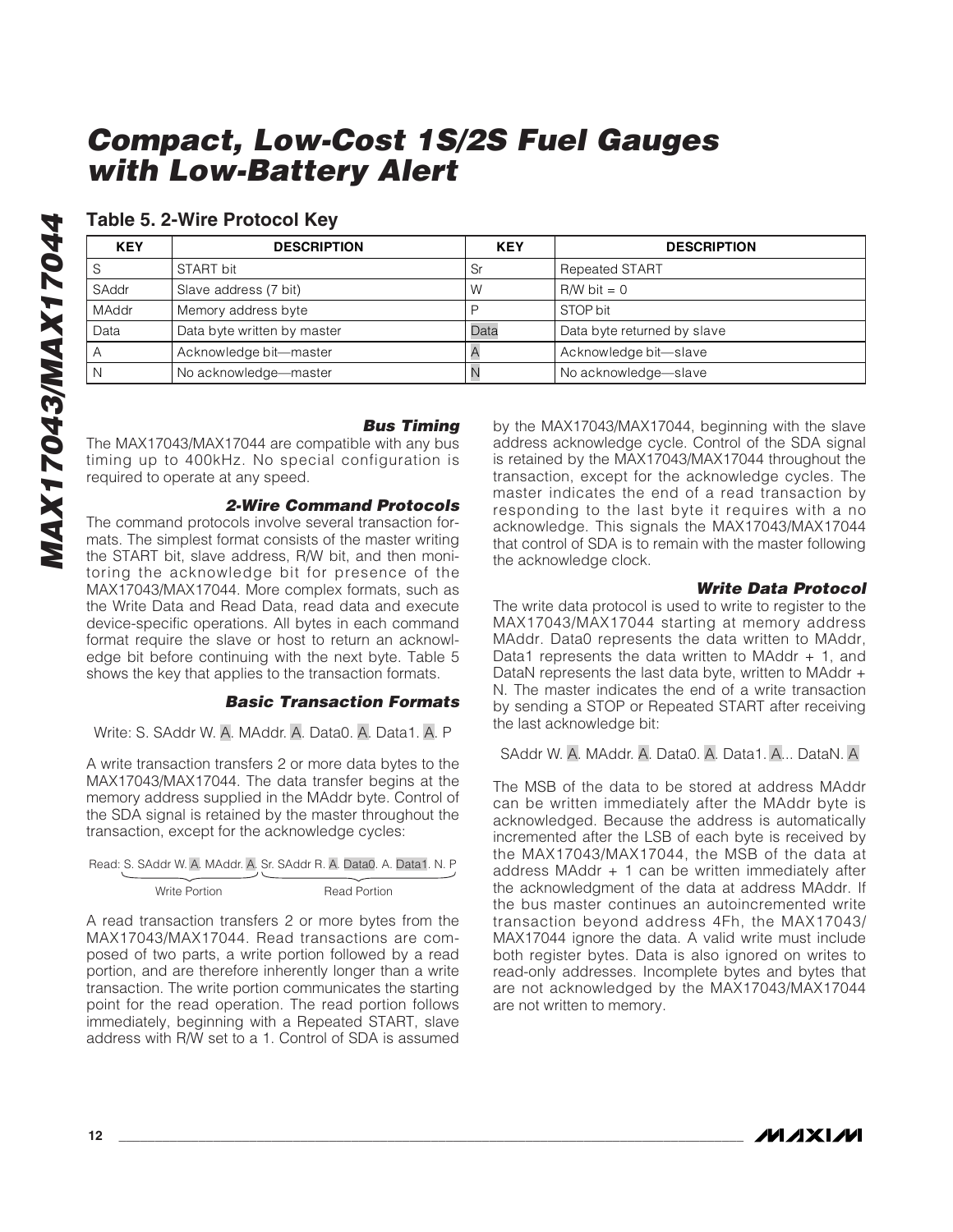### **Table 5. 2-Wire Protocol Key**

| <b>KEY</b>   | <b>DESCRIPTION</b>          | <b>KEY</b> | <b>DESCRIPTION</b>          |  |
|--------------|-----------------------------|------------|-----------------------------|--|
|              | START bit                   | Sr         | <b>Repeated START</b>       |  |
| SAddr        | Slave address (7 bit)       | W          | $RM$ bit = 0                |  |
| <b>MAddr</b> | Memory address byte         |            | STOP bit                    |  |
| Data         | Data byte written by master | Data       | Data byte returned by slave |  |
|              | Acknowledge bit-master      |            | Acknowledge bit-slave       |  |
|              | No acknowledge-master       |            | No acknowledge-slave        |  |

#### **Bus Timing**

The MAX17043/MAX17044 are compatible with any bus timing up to 400kHz. No special configuration is required to operate at any speed.

#### **2-Wire Command Protocols**

The command protocols involve several transaction formats. The simplest format consists of the master writing the START bit, slave address, R/W bit, and then monitoring the acknowledge bit for presence of the MAX17043/MAX17044. More complex formats, such as the Write Data and Read Data, read data and execute device-specific operations. All bytes in each command format require the slave or host to return an acknowledge bit before continuing with the next byte. Table 5 shows the key that applies to the transaction formats.

#### **Basic Transaction Formats**

Write: S. SAddr W. A. MAddr. A. Data0. A. Data1. A. P

A write transaction transfers 2 or more data bytes to the MAX17043/MAX17044. The data transfer begins at the memory address supplied in the MAddr byte. Control of the SDA signal is retained by the master throughout the transaction, except for the acknowledge cycles:

|               | Read: S. SAddr W. A. MAddr. A. Sr. SAddr R. A. Data0. A. Data1. N. P |
|---------------|----------------------------------------------------------------------|
|               |                                                                      |
| Write Portion | <b>Read Portion</b>                                                  |

A read transaction transfers 2 or more bytes from the MAX17043/MAX17044. Read transactions are composed of two parts, a write portion followed by a read portion, and are therefore inherently longer than a write transaction. The write portion communicates the starting point for the read operation. The read portion follows immediately, beginning with a Repeated START, slave address with R/W set to a 1. Control of SDA is assumed

by the MAX17043/MAX17044, beginning with the slave address acknowledge cycle. Control of the SDA signal is retained by the MAX17043/MAX17044 throughout the transaction, except for the acknowledge cycles. The master indicates the end of a read transaction by responding to the last byte it requires with a no acknowledge. This signals the MAX17043/MAX17044 that control of SDA is to remain with the master following the acknowledge clock.

#### **Write Data Protocol**

The write data protocol is used to write to register to the MAX17043/MAX17044 starting at memory address MAddr. Data0 represents the data written to MAddr, Data1 represents the data written to MAddr  $+$  1, and DataN represents the last data byte, written to MAddr + N. The master indicates the end of a write transaction by sending a STOP or Repeated START after receiving the last acknowledge bit:

SAddr W. A. MAddr. A. Data0. A. Data1. A... DataN. A

The MSB of the data to be stored at address MAddr can be written immediately after the MAddr byte is acknowledged. Because the address is automatically incremented after the LSB of each byte is received by the MAX17043/MAX17044, the MSB of the data at address MAddr + 1 can be written immediately after the acknowledgment of the data at address MAddr. If the bus master continues an autoincremented write transaction beyond address 4Fh, the MAX17043/ MAX17044 ignore the data. A valid write must include both register bytes. Data is also ignored on writes to read-only addresses. Incomplete bytes and bytes that are not acknowledged by the MAX17043/MAX17044 are not written to memory.

**MAXIM**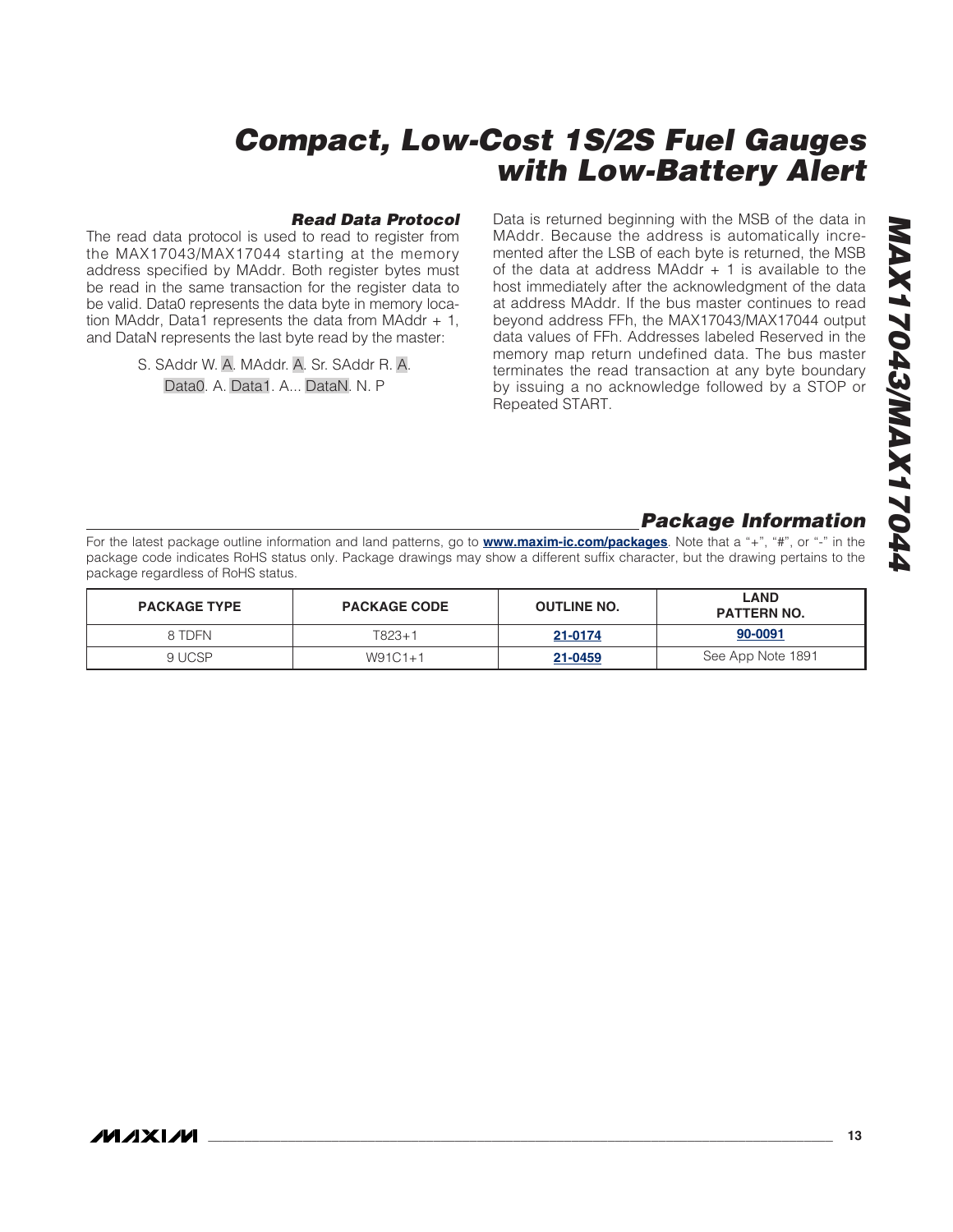#### **Read Data Protocol**

The read data protocol is used to read to register from the MAX17043/MAX17044 starting at the memory address specified by MAddr. Both register bytes must be read in the same transaction for the register data to be valid. Data0 represents the data byte in memory location MAddr, Data1 represents the data from MAddr  $+1$ , and DataN represents the last byte read by the master:

> S. SAddr W. A. MAddr. A. Sr. SAddr R. A. Data0. A. Data1. A... DataN. N. P

Data is returned beginning with the MSB of the data in MAddr. Because the address is automatically incremented after the LSB of each byte is returned, the MSB of the data at address MAddr  $+$  1 is available to the host immediately after the acknowledgment of the data at address MAddr. If the bus master continues to read beyond address FFh, the MAX17043/MAX17044 output data values of FFh. Addresses labeled Reserved in the memory map return undefined data. The bus master terminates the read transaction at any byte boundary by issuing a no acknowledge followed by a STOP or Repeated START.

### **Package Information**

For the latest package outline information and land patterns, go to **[www.maxim-ic.com/packages](http://www.maxim-ic.com/packages)**. Note that a "+", "#", or "-" in the package code indicates RoHS status only. Package drawings may show a different suffix character, but the drawing pertains to the package regardless of RoHS status.

| <b>PACKAGE TYPE</b> | <b>PACKAGE CODE</b> | <b>OUTLINE NO.</b> | <b>LAND</b><br><b>PATTERN NO.</b> |
|---------------------|---------------------|--------------------|-----------------------------------|
| 8 TDFN              | $T823+1$            | 21-0174            | 90-0091                           |
| 9 UCSP              | $W91C1+1$           | 21-0459            | See App Note 1891                 |